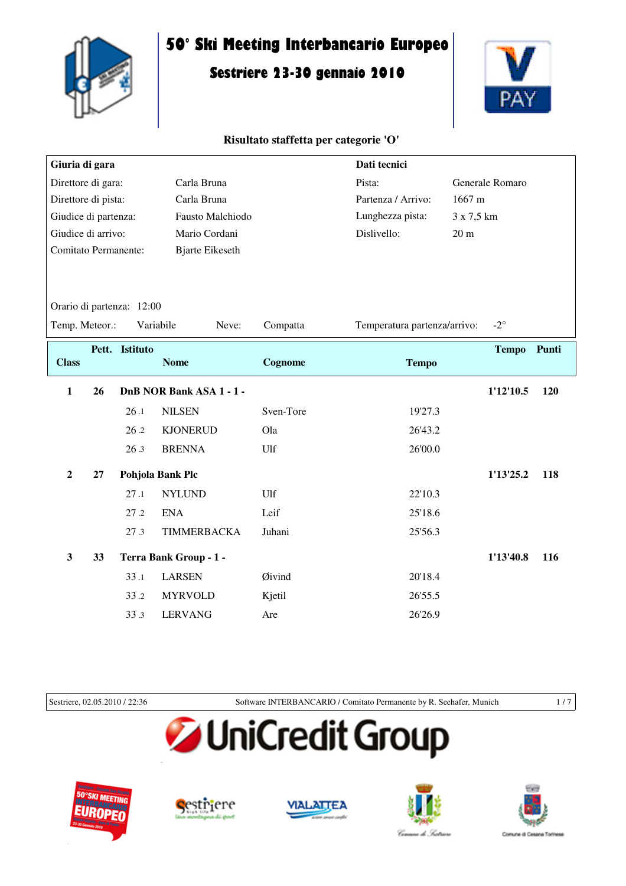

# **50° Ski Meeting Interbancario Europeo**

# **Sestriere 23-30 gennaio 2010**



# **Risultato staffetta per categorie 'O'**

| Giuria di gara              |    |                           |                          |           | Dati tecnici                 |                  |
|-----------------------------|----|---------------------------|--------------------------|-----------|------------------------------|------------------|
| Direttore di gara:          |    | Carla Bruna               |                          |           | Generale Romaro              |                  |
| Direttore di pista:         |    |                           | Carla Bruna              |           | Partenza / Arrivo:           | 1667 m           |
| Giudice di partenza:        |    |                           | Fausto Malchiodo         |           | Lunghezza pista:             | 3 x 7,5 km       |
| Giudice di arrivo:          |    |                           | Mario Cordani            |           | Dislivello:                  | 20 <sub>m</sub>  |
| <b>Comitato Permanente:</b> |    |                           | <b>Bjarte Eikeseth</b>   |           |                              |                  |
|                             |    |                           |                          |           |                              |                  |
|                             |    |                           |                          |           |                              |                  |
|                             |    | Orario di partenza: 12:00 |                          |           |                              |                  |
| Temp. Meteor.:              |    | Variabile                 | Neve:                    | Compatta  | Temperatura partenza/arrivo: | $-2^{\circ}$     |
|                             |    | Pett. Istituto            |                          |           |                              | Tempo Punti      |
| <b>Class</b>                |    |                           | <b>Nome</b>              | Cognome   | <b>Tempo</b>                 |                  |
| $\mathbf{1}$                | 26 |                           | DnB NOR Bank ASA 1 - 1 - |           |                              | 1'12'10.5<br>120 |
|                             |    | 26.1                      | <b>NILSEN</b>            | Sven-Tore | 19'27.3                      |                  |
|                             |    | 26.2                      | <b>KJONERUD</b>          | Ola       | 26'43.2                      |                  |
|                             |    | 26.3                      | <b>BRENNA</b>            | Ulf       | 26'00.0                      |                  |
| $\overline{2}$              | 27 |                           | Pohjola Bank Plc         |           |                              | 1'13'25.2<br>118 |
|                             |    | 27.1                      | <b>NYLUND</b>            | Ulf       | 22'10.3                      |                  |
|                             |    | 27.2                      | <b>ENA</b>               | Leif      | 25'18.6                      |                  |
|                             |    | 27.3                      | TIMMERBACKA              | Juhani    | 25'56.3                      |                  |
| $\overline{\mathbf{3}}$     | 33 |                           | Terra Bank Group - 1 -   |           |                              | 1'13'40.8<br>116 |
|                             |    | 33.1                      | <b>LARSEN</b>            | Øivind    | 20'18.4                      |                  |
|                             |    | 33.2                      | <b>MYRVOLD</b>           | Kjetil    | 26'55.5                      |                  |
|                             |    | 33.3                      | <b>LERVANG</b>           | Are       | 26'26.9                      |                  |
|                             |    |                           |                          |           |                              |                  |

Sestriere, 02.05.2010 / 22:36 Software INTERBANCARIO / Comitato Permanente by R. Seehafer, Munich 1 / 7

# **JUniCredit Group**









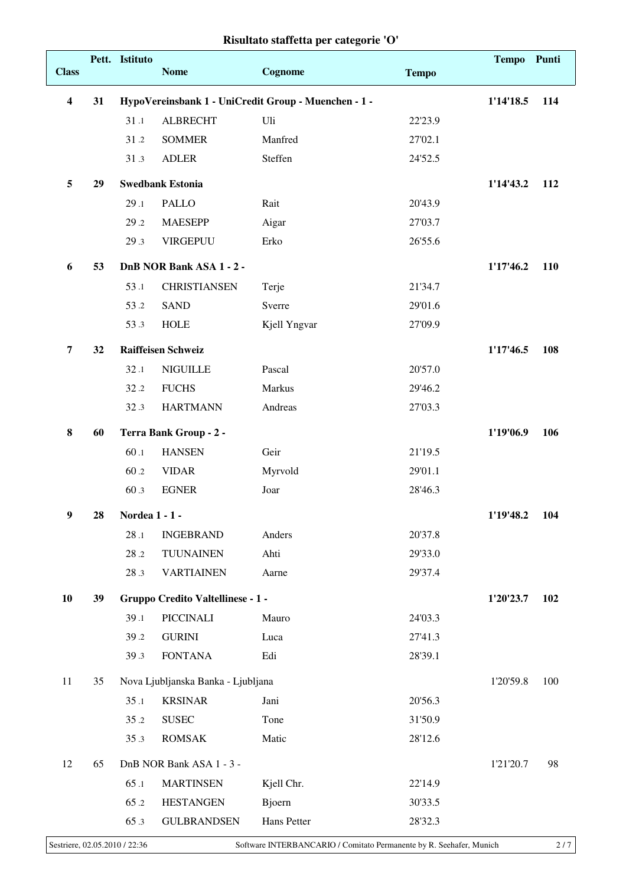| <b>Class</b>     |    | Pett. Istituto | <b>Nome</b>                        | Cognome                                              | <b>Tempo</b> | Tempo Punti |     |
|------------------|----|----------------|------------------------------------|------------------------------------------------------|--------------|-------------|-----|
| $\boldsymbol{4}$ | 31 |                |                                    | HypoVereinsbank 1 - UniCredit Group - Muenchen - 1 - |              | 1'14'18.5   | 114 |
|                  |    | 31.1           | <b>ALBRECHT</b>                    | Uli                                                  | 22'23.9      |             |     |
|                  |    | 31.2           | <b>SOMMER</b>                      | Manfred                                              | 27'02.1      |             |     |
|                  |    | 31.3           | <b>ADLER</b>                       | Steffen                                              | 24'52.5      |             |     |
| 5                | 29 |                | <b>Swedbank Estonia</b>            |                                                      |              | 1'14'43.2   | 112 |
|                  |    | 29.1           | <b>PALLO</b>                       | Rait                                                 | 20'43.9      |             |     |
|                  |    | 29.2           | <b>MAESEPP</b>                     | Aigar                                                | 27'03.7      |             |     |
|                  |    | 29.3           | <b>VIRGEPUU</b>                    | Erko                                                 | 26'55.6      |             |     |
| 6                | 53 |                | DnB NOR Bank ASA 1 - 2 -           |                                                      |              | 1'17'46.2   | 110 |
|                  |    | 53.1           | <b>CHRISTIANSEN</b>                | Terje                                                | 21'34.7      |             |     |
|                  |    | 53.2           | <b>SAND</b>                        | Sverre                                               | 29'01.6      |             |     |
|                  |    | 53.3           | <b>HOLE</b>                        | Kjell Yngvar                                         | 27'09.9      |             |     |
| $\overline{7}$   | 32 |                | <b>Raiffeisen Schweiz</b>          |                                                      |              | 1'17'46.5   | 108 |
|                  |    | 32.1           | <b>NIGUILLE</b>                    | Pascal                                               | 20'57.0      |             |     |
|                  |    | 32.2           | <b>FUCHS</b>                       | Markus                                               | 29'46.2      |             |     |
|                  |    | 32.3           | <b>HARTMANN</b>                    | Andreas                                              | 27'03.3      |             |     |
| $\bf{8}$         | 60 |                | Terra Bank Group - 2 -             |                                                      |              | 1'19'06.9   | 106 |
|                  |    | 60.1           | <b>HANSEN</b>                      | Geir                                                 | 21'19.5      |             |     |
|                  |    | 60.2           | <b>VIDAR</b>                       | Myrvold                                              | 29'01.1      |             |     |
|                  |    | 60.3           | <b>EGNER</b>                       | Joar                                                 | 28'46.3      |             |     |
| 9                | 28 | Nordea 1 - 1 - |                                    |                                                      |              | 1'19'48.2   | 104 |
|                  |    | 28.1           | <b>INGEBRAND</b>                   | Anders                                               | 20'37.8      |             |     |
|                  |    | 28.2           | <b>TUUNAINEN</b>                   | Ahti                                                 | 29'33.0      |             |     |
|                  |    | 28.3           | <b>VARTIAINEN</b>                  | Aarne                                                | 29'37.4      |             |     |
| 10               | 39 |                | Gruppo Credito Valtellinese - 1 -  |                                                      |              | 1'20'23.7   | 102 |
|                  |    | 39.1           | PICCINALI                          | Mauro                                                | 24'03.3      |             |     |
|                  |    | 39.2           | <b>GURINI</b>                      | Luca                                                 | 27'41.3      |             |     |
|                  |    | 39.3           | <b>FONTANA</b>                     | Edi                                                  | 28'39.1      |             |     |
| 11               | 35 |                | Nova Ljubljanska Banka - Ljubljana |                                                      |              | 1'20'59.8   | 100 |
|                  |    | 35.1           | <b>KRSINAR</b>                     | Jani                                                 | 20'56.3      |             |     |
|                  |    | 35.2           | <b>SUSEC</b>                       | Tone                                                 | 31'50.9      |             |     |
|                  |    | 35.3           | <b>ROMSAK</b>                      | Matic                                                | 28'12.6      |             |     |
| 12               | 65 |                | DnB NOR Bank ASA 1 - 3 -           |                                                      |              | 1'21'20.7   | 98  |
|                  |    | 65.1           | <b>MARTINSEN</b>                   | Kjell Chr.                                           | 22'14.9      |             |     |
|                  |    | 65.2           | <b>HESTANGEN</b>                   | <b>Bjoern</b>                                        | 30'33.5      |             |     |
|                  |    | 65.3           | <b>GULBRANDSEN</b>                 | Hans Petter                                          | 28'32.3      |             |     |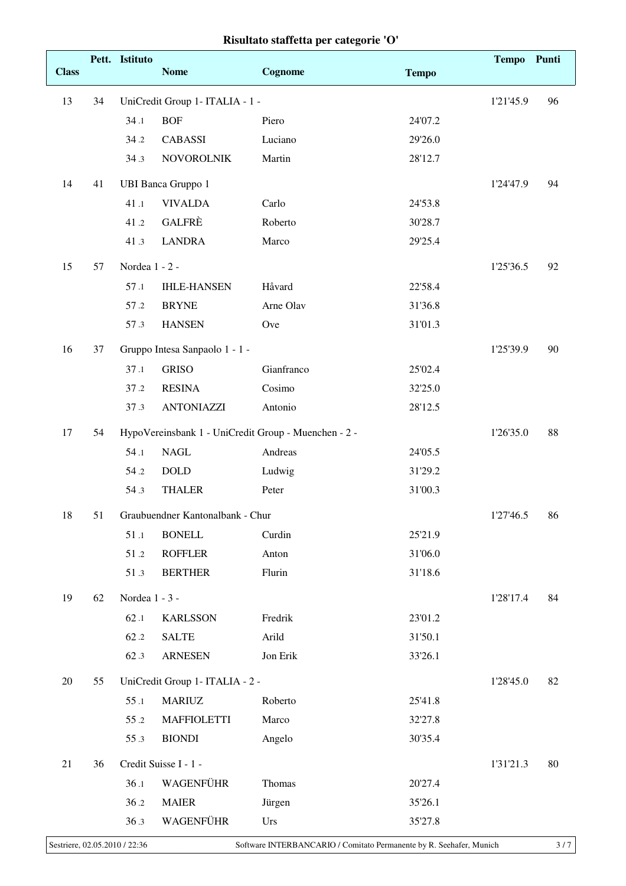|              |    | Pett. Istituto |                                                   |                                                      |              | <b>Tempo</b> | Punti |
|--------------|----|----------------|---------------------------------------------------|------------------------------------------------------|--------------|--------------|-------|
| <b>Class</b> |    |                | <b>Nome</b>                                       | Cognome                                              | <b>Tempo</b> |              |       |
| 13           | 34 |                | UniCredit Group 1- ITALIA - 1 -                   |                                                      |              | 1'21'45.9    | 96    |
|              |    | 34.1           | <b>BOF</b>                                        | Piero                                                | 24'07.2      |              |       |
|              |    | 34.2           | <b>CABASSI</b>                                    | Luciano                                              | 29'26.0      |              |       |
|              |    | 34.3           | <b>NOVOROLNIK</b>                                 | Martin                                               | 28'12.7      |              |       |
| 14           | 41 |                | <b>UBI Banca Gruppo 1</b>                         |                                                      |              | 1'24'47.9    | 94    |
|              |    | 41.1           | <b>VIVALDA</b>                                    | Carlo                                                | 24'53.8      |              |       |
|              |    | 41.2           | <b>GALFRÈ</b>                                     | Roberto                                              | 30'28.7      |              |       |
|              |    | 41.3           | <b>LANDRA</b>                                     | Marco                                                | 29'25.4      |              |       |
| 15           | 57 | Nordea 1 - 2 - |                                                   |                                                      |              | 1'25'36.5    | 92    |
|              |    | 57.1           | <b>IHLE-HANSEN</b>                                | Håvard                                               | 22'58.4      |              |       |
|              |    | 57.2           | <b>BRYNE</b>                                      | Arne Olav                                            | 31'36.8      |              |       |
|              |    | 57.3           | <b>HANSEN</b>                                     | Ove                                                  | 31'01.3      |              |       |
| 16           | 37 |                | Gruppo Intesa Sanpaolo 1 - 1 -                    |                                                      |              | 1'25'39.9    | 90    |
|              |    | 37.1           | <b>GRISO</b>                                      | Gianfranco                                           | 25'02.4      |              |       |
|              |    | 37.2           | <b>RESINA</b>                                     | Cosimo                                               | 32'25.0      |              |       |
|              |    | 37.3           | <b>ANTONIAZZI</b>                                 | Antonio                                              | 28'12.5      |              |       |
| 17           | 54 |                |                                                   | HypoVereinsbank 1 - UniCredit Group - Muenchen - 2 - |              | 1'26'35.0    | 88    |
|              |    | 54.1           | <b>NAGL</b>                                       | Andreas                                              | 24'05.5      |              |       |
|              |    | 54.2           | <b>DOLD</b>                                       | Ludwig                                               | 31'29.2      |              |       |
|              |    | 54.3           | <b>THALER</b>                                     | Peter                                                | 31'00.3      |              |       |
|              |    |                |                                                   |                                                      |              |              |       |
| 18           | 51 | 51.1           | Graubuendner Kantonalbank - Chur<br><b>BONELL</b> | Curdin                                               | 25'21.9      | 1'27'46.5    | 86    |
|              |    | 51.2           | <b>ROFFLER</b>                                    | Anton                                                | 31'06.0      |              |       |
|              |    | 51.3           | <b>BERTHER</b>                                    | Flurin                                               | 31'18.6      |              |       |
|              |    |                |                                                   |                                                      |              |              |       |
| 19           | 62 | Nordea 1 - 3 - |                                                   |                                                      |              | 1'28'17.4    | 84    |
|              |    | 62.1           | <b>KARLSSON</b>                                   | Fredrik                                              | 23'01.2      |              |       |
|              |    | 62.2           | <b>SALTE</b>                                      | Arild                                                | 31'50.1      |              |       |
|              |    | 62.3           | <b>ARNESEN</b>                                    | Jon Erik                                             | 33'26.1      |              |       |
| 20           | 55 |                | UniCredit Group 1- ITALIA - 2 -                   |                                                      |              | 1'28'45.0    | 82    |
|              |    | 55.1           | <b>MARIUZ</b>                                     | Roberto                                              | 25'41.8      |              |       |
|              |    | 55.2           | <b>MAFFIOLETTI</b>                                | Marco                                                | 32'27.8      |              |       |
|              |    | 55.3           | <b>BIONDI</b>                                     | Angelo                                               | 30'35.4      |              |       |
| 21           | 36 |                | Credit Suisse I - 1 -                             |                                                      |              | 1'31'21.3    | 80    |
|              |    | 36.1           | WAGENFÜHR                                         | Thomas                                               | 20'27.4      |              |       |
|              |    | 36.2           | <b>MAIER</b>                                      | Jürgen                                               | 35'26.1      |              |       |
|              |    | 36.3           | WAGENFÜHR                                         | Urs                                                  | 35'27.8      |              |       |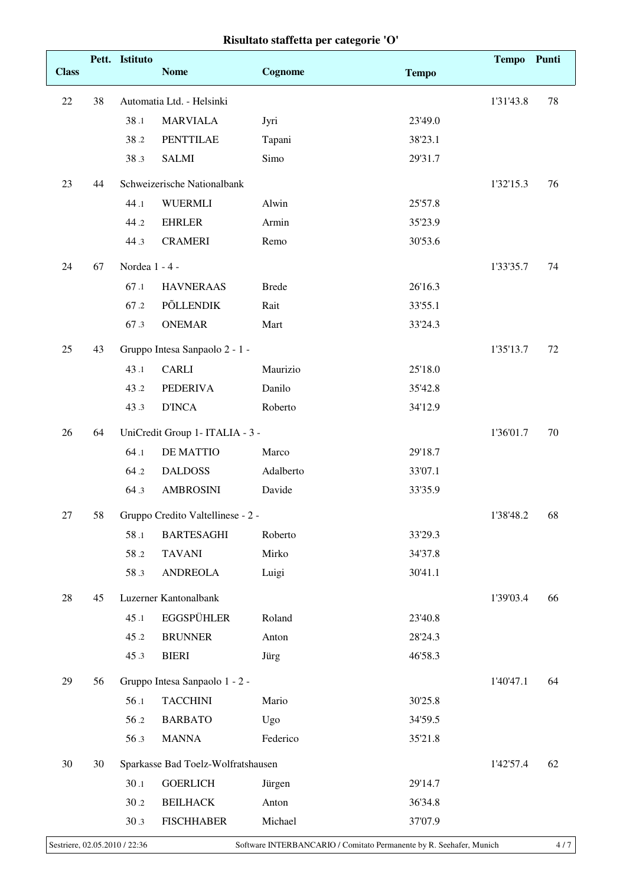| Risultato staffetta per categorie 'O' |  |  |  |
|---------------------------------------|--|--|--|
|---------------------------------------|--|--|--|

|              |    | Pett. Istituto |                                    |              |              | Tempo Punti |    |
|--------------|----|----------------|------------------------------------|--------------|--------------|-------------|----|
| <b>Class</b> |    |                | <b>Nome</b>                        | Cognome      | <b>Tempo</b> |             |    |
| 22           | 38 |                | Automatia Ltd. - Helsinki          |              |              | 1'31'43.8   | 78 |
|              |    | 38.1           | <b>MARVIALA</b>                    | Jyri         | 23'49.0      |             |    |
|              |    | 38.2           | <b>PENTTILAE</b>                   | Tapani       | 38'23.1      |             |    |
|              |    | 38.3           | <b>SALMI</b>                       | Simo         | 29'31.7      |             |    |
| 23           | 44 |                | Schweizerische Nationalbank        |              |              | 1'32'15.3   | 76 |
|              |    | 44.1           | <b>WUERMLI</b>                     | Alwin        | 25'57.8      |             |    |
|              |    | 44.2           | <b>EHRLER</b>                      | Armin        | 35'23.9      |             |    |
|              |    | 44.3           | <b>CRAMERI</b>                     | Remo         | 30'53.6      |             |    |
| 24           | 67 | Nordea 1 - 4 - |                                    |              |              | 1'33'35.7   | 74 |
|              |    | 67.1           | <b>HAVNERAAS</b>                   | <b>Brede</b> | 26'16.3      |             |    |
|              |    | 67.2           | <b>PÕLLENDIK</b>                   | Rait         | 33'55.1      |             |    |
|              |    | 67.3           | <b>ONEMAR</b>                      | Mart         | 33'24.3      |             |    |
| 25           | 43 |                | Gruppo Intesa Sanpaolo 2 - 1 -     |              |              | 1'35'13.7   | 72 |
|              |    | 43.1           | <b>CARLI</b>                       | Maurizio     | 25'18.0      |             |    |
|              |    | 43.2           | <b>PEDERIVA</b>                    | Danilo       | 35'42.8      |             |    |
|              |    | 43.3           | <b>D'INCA</b>                      | Roberto      | 34'12.9      |             |    |
| 26           | 64 |                | UniCredit Group 1- ITALIA - 3 -    |              |              | 1'36'01.7   | 70 |
|              |    | 64.1           | <b>DE MATTIO</b>                   | Marco        | 29'18.7      |             |    |
|              |    | 64.2           | <b>DALDOSS</b>                     | Adalberto    | 33'07.1      |             |    |
|              |    | 64.3           | <b>AMBROSINI</b>                   | Davide       | 33'35.9      |             |    |
| 27           | 58 |                | Gruppo Credito Valtellinese - 2 -  |              |              | 1'38'48.2   | 68 |
|              |    | 58.1           | <b>BARTESAGHI</b>                  | Roberto      | 33'29.3      |             |    |
|              |    | 58.2           | <b>TAVANI</b>                      | Mirko        | 34'37.8      |             |    |
|              |    | 58.3           | <b>ANDREOLA</b>                    | Luigi        | 30'41.1      |             |    |
| 28           | 45 |                | Luzerner Kantonalbank              |              |              | 1'39'03.4   | 66 |
|              |    | 45.1           | <b>EGGSPÜHLER</b>                  | Roland       | 23'40.8      |             |    |
|              |    | 45.2           | <b>BRUNNER</b>                     | Anton        | 28'24.3      |             |    |
|              |    | 45.3           | <b>BIERI</b>                       | Jürg         | 46'58.3      |             |    |
| 29           | 56 |                | Gruppo Intesa Sanpaolo 1 - 2 -     |              |              | 1'40'47.1   | 64 |
|              |    | 56.1           | <b>TACCHINI</b>                    | Mario        | 30'25.8      |             |    |
|              |    | 56.2           | <b>BARBATO</b>                     | Ugo          | 34'59.5      |             |    |
|              |    | 56.3           | <b>MANNA</b>                       | Federico     | 35'21.8      |             |    |
| 30           | 30 |                | Sparkasse Bad Toelz-Wolfratshausen |              |              | 1'42'57.4   | 62 |
|              |    | 30.1           | <b>GOERLICH</b>                    | Jürgen       | 29'14.7      |             |    |
|              |    | 30.2           | <b>BEILHACK</b>                    | Anton        | 36'34.8      |             |    |
|              |    | 30.3           | <b>FISCHHABER</b>                  | Michael      | 37'07.9      |             |    |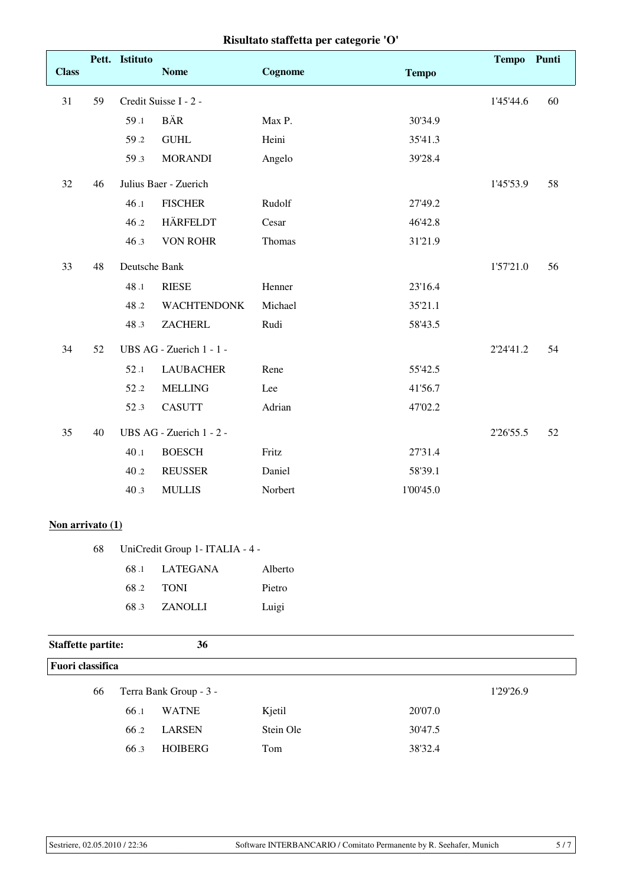|              | Risultato staffetta per categorie 'O' |                |                          |         |              |              |       |
|--------------|---------------------------------------|----------------|--------------------------|---------|--------------|--------------|-------|
|              |                                       | Pett. Istituto |                          |         |              | <b>Tempo</b> | Punti |
| <b>Class</b> |                                       |                | <b>Nome</b>              | Cognome | <b>Tempo</b> |              |       |
| 31           | 59                                    |                | Credit Suisse I - 2 -    |         |              | 1'45'44.6    | 60    |
|              |                                       | 59.1           | <b>BÄR</b>               | Max P.  | 30'34.9      |              |       |
|              |                                       | 59.2           | <b>GUHL</b>              | Heini   | 35'41.3      |              |       |
|              |                                       | 59.3           | <b>MORANDI</b>           | Angelo  | 39'28.4      |              |       |
| 32           | 46                                    |                | Julius Baer - Zuerich    |         |              | 1'45'53.9    | 58    |
|              |                                       | 46.1           | <b>FISCHER</b>           | Rudolf  | 27'49.2      |              |       |
|              |                                       | 46.2           | <b>HÄRFELDT</b>          | Cesar   | 46'42.8      |              |       |
|              |                                       | 46.3           | <b>VON ROHR</b>          | Thomas  | 31'21.9      |              |       |
| 33           | 48                                    | Deutsche Bank  |                          |         |              | 1'57'21.0    | 56    |
|              |                                       | 48.1           | <b>RIESE</b>             | Henner  | 23'16.4      |              |       |
|              |                                       | 48.2           | <b>WACHTENDONK</b>       | Michael | 35'21.1      |              |       |
|              |                                       | 48.3           | <b>ZACHERL</b>           | Rudi    | 58'43.5      |              |       |
| 34           | 52                                    |                | UBS AG - Zuerich 1 - 1 - |         |              | 2'24'41.2    | 54    |
|              |                                       | 52.1           | <b>LAUBACHER</b>         | Rene    | 55'42.5      |              |       |
|              |                                       | 52.2           | <b>MELLING</b>           | Lee     | 41'56.7      |              |       |
|              |                                       | 52.3           | <b>CASUTT</b>            | Adrian  | 47'02.2      |              |       |
| 35           | 40                                    |                | UBS AG - Zuerich 1 - 2 - |         |              | 2'26'55.5    | 52    |
|              |                                       | 40.1           | <b>BOESCH</b>            | Fritz   | 27'31.4      |              |       |
|              |                                       | 40.2           | <b>REUSSER</b>           | Daniel  | 58'39.1      |              |       |
|              |                                       | 40.3           | <b>MULLIS</b>            | Norbert | 1'00'45.0    |              |       |

#### **Non arrivato (1)**

|  | 68 UniCredit Group 1 - ITALIA - 4 - |         |  |
|--|-------------------------------------|---------|--|
|  | 68.1 LATEGANA                       | Alberto |  |
|  | 68.2 TONI                           | Pietro  |  |
|  | 68.3 ZANOLLI                        | Luigi   |  |

# **Staffette partite: 36 Fuori classifica** 66 Terra Bank Group - 3 - 1'29'26.9 66 .1 WATNE Kjetil 20'07.0 66 .2 LARSEN Stein Ole 30'47.5 66 .3 HOIBERG Tom 38'32.4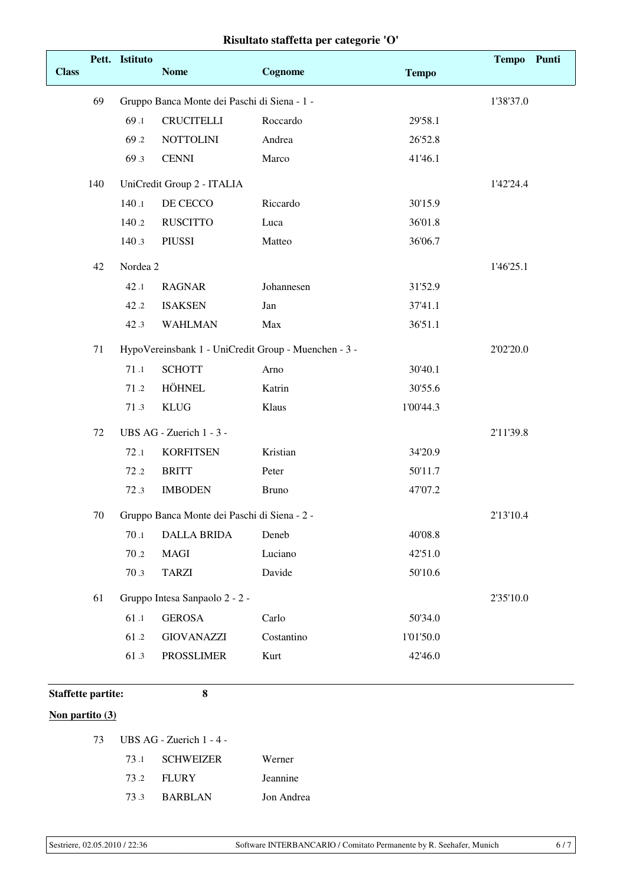| <b>Class</b> |     | Pett. Istituto | <b>Nome</b>                                  | Cognome                                              | <b>Tempo</b> | <b>Tempo</b> | Punti |
|--------------|-----|----------------|----------------------------------------------|------------------------------------------------------|--------------|--------------|-------|
|              | 69  |                | Gruppo Banca Monte dei Paschi di Siena - 1 - |                                                      |              | 1'38'37.0    |       |
|              |     | 69.1           | <b>CRUCITELLI</b>                            | Roccardo                                             | 29'58.1      |              |       |
|              |     | 69.2           | <b>NOTTOLINI</b>                             | Andrea                                               | 26'52.8      |              |       |
|              |     | 69.3           | <b>CENNI</b>                                 | Marco                                                | 41'46.1      |              |       |
|              | 140 |                | UniCredit Group 2 - ITALIA                   |                                                      |              | 1'42'24.4    |       |
|              |     | 140.1          | DE CECCO                                     | Riccardo                                             | 30'15.9      |              |       |
|              |     | 140.2          | <b>RUSCITTO</b>                              | Luca                                                 | 36'01.8      |              |       |
|              |     | 140.3          | <b>PIUSSI</b>                                | Matteo                                               | 36'06.7      |              |       |
|              | 42  | Nordea 2       |                                              |                                                      |              | 1'46'25.1    |       |
|              |     | 42.1           | <b>RAGNAR</b>                                | Johannesen                                           | 31'52.9      |              |       |
|              |     | 42.2           | <b>ISAKSEN</b>                               | Jan                                                  | 37'41.1      |              |       |
|              |     | 42.3           | <b>WAHLMAN</b>                               | Max                                                  | 36'51.1      |              |       |
|              | 71  |                |                                              | HypoVereinsbank 1 - UniCredit Group - Muenchen - 3 - |              | 2'02'20.0    |       |
|              |     | 71.1           | <b>SCHOTT</b>                                | Arno                                                 | 30'40.1      |              |       |
|              |     | 71.2           | <b>HÖHNEL</b>                                | Katrin                                               | 30'55.6      |              |       |
|              |     | 71.3           | <b>KLUG</b>                                  | Klaus                                                | 1'00'44.3    |              |       |
|              | 72  |                | UBS AG - Zuerich 1 - 3 -                     |                                                      |              | 2'11'39.8    |       |
|              |     | 72.1           | <b>KORFITSEN</b>                             | Kristian                                             | 34'20.9      |              |       |
|              |     | 72.2           | <b>BRITT</b>                                 | Peter                                                | 50'11.7      |              |       |
|              |     | 72.3           | <b>IMBODEN</b>                               | <b>Bruno</b>                                         | 47'07.2      |              |       |
|              | 70  |                | Gruppo Banca Monte dei Paschi di Siena - 2 - |                                                      |              | 2'13'10.4    |       |
|              |     | 70.1           | <b>DALLA BRIDA</b>                           | Deneb                                                | 40'08.8      |              |       |
|              |     | 70.2           | MAGI                                         | Luciano                                              | 42'51.0      |              |       |
|              |     | 70.3           | <b>TARZI</b>                                 | Davide                                               | 50'10.6      |              |       |
|              | 61  |                | Gruppo Intesa Sanpaolo 2 - 2 -               |                                                      |              | 2'35'10.0    |       |
|              |     | 61.1           | <b>GEROSA</b>                                | Carlo                                                | 50'34.0      |              |       |
|              |     | 61.2           | <b>GIOVANAZZI</b>                            | Costantino                                           | 1'01'50.0    |              |       |
|              |     | 61.3           | <b>PROSSLIMER</b>                            | Kurt                                                 | 42'46.0      |              |       |
|              |     |                |                                              |                                                      |              |              |       |

# **Staffette partite: 8**

# **Non partito (3)**

| 73.1 | <b>SCHWEIZER</b> | Werner     |
|------|------------------|------------|
|      | 73.2 FLURY       | Jeannine   |
| 73 3 | <b>BARBLAN</b>   | Jon Andrea |